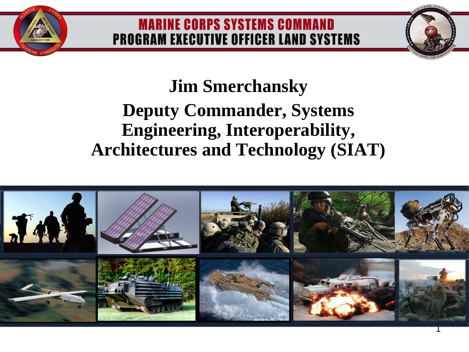#### **MARINE CORPS SYSTEMS COMMAND PROGRAM EXECUTIVE OFFICER LAND SYSTEMS**

## **Jim Smerchansky**

## **Deputy Commander, Systems Engineering, Interoperability, Architectures and Technology (SIAT)**

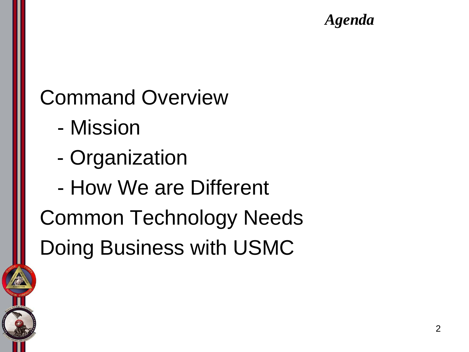#### *Agenda*

# Command Overview

- Mission
- Organization
- How We are Different

Common Technology Needs Doing Business with USMC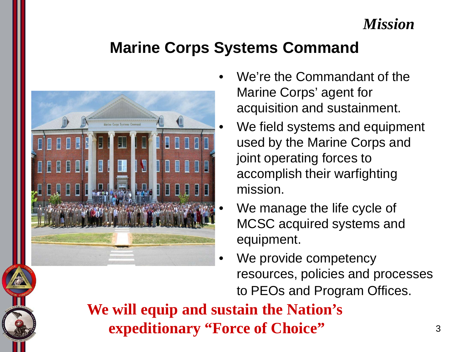#### *Mission*

## **Marine Corps Systems Command**



- We're the Commandant of the Marine Corps' agent for acquisition and sustainment.
	- We field systems and equipment used by the Marine Corps and joint operating forces to accomplish their warfighting mission.
	- We manage the life cycle of MCSC acquired systems and equipment.
- We provide competency resources, policies and processes to PEOs and Program Offices.

**We will equip and sustain the Nation's expeditionary "Force of Choice"**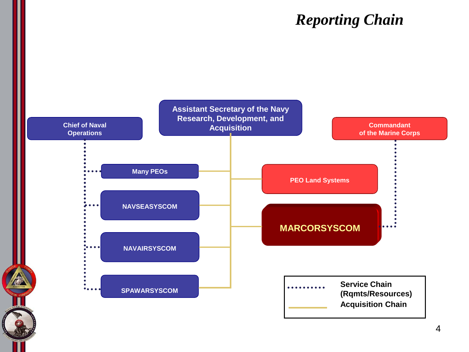#### **Reporting Chain**

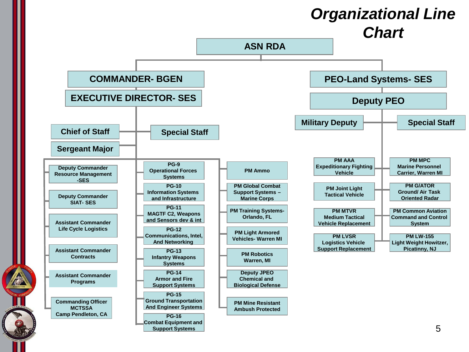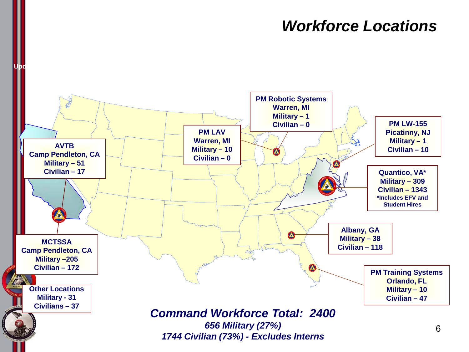#### *Workforce Locations Workforce Locations*

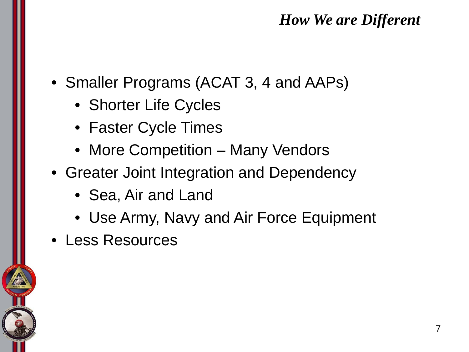#### *How We are Different How We are Different*

- Smaller Programs (ACAT 3, 4 and AAPs)
	- Shorter Life Cycles
	- Faster Cycle Times
	- More Competition Many Vendors
- Greater Joint Integration and Dependency
	- Sea, Air and Land
	- Use Army, Navy and Air Force Equipment
- Less Resources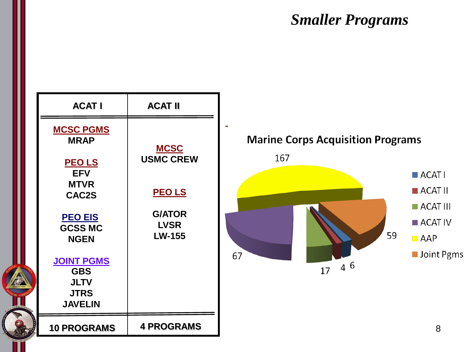#### **Smaller Programs**

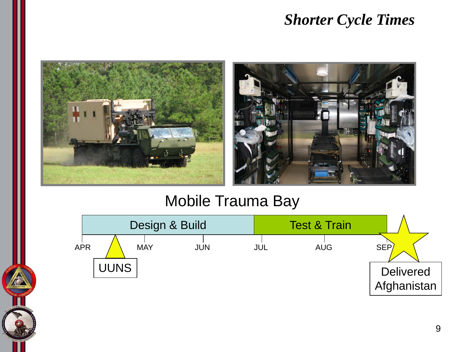#### *Shorter Cycle Times*



#### Mobile Trauma Bay

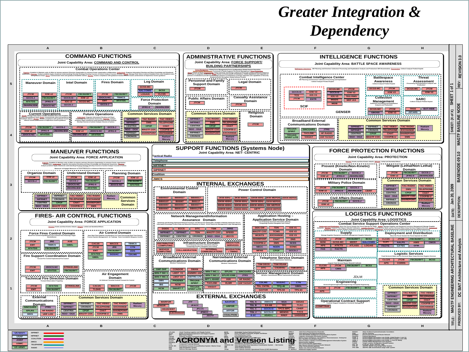## *Greater Integration & Dependency*

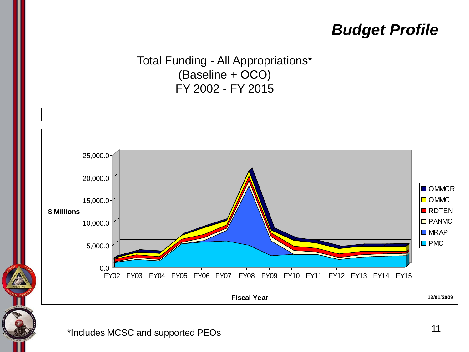## *Budget Profile*

Total Funding - All Appropriations\* (Baseline + OCO) FY 2002 - FY 2015



\*Includes MCSC and supported PEOs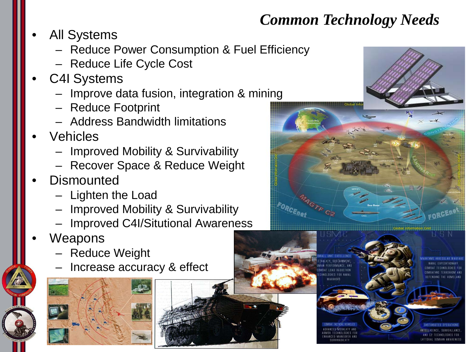### *Common Technology Needs*

- All Systems
	- Reduce Power Consumption & Fuel Efficiency
	- Reduce Life Cycle Cost
- C4I Systems
	- Improve data fusion, integration & mining
	- Reduce Footprint
	- Address Bandwidth limitations
- Vehicles
	- Improved Mobility & Survivability
	- Recover Space & Reduce Weight
- **Dismounted** 
	- Lighten the Load
	- Improved Mobility & Survivability
	- Improved C4I/Situtional Awareness
- **Weapons** 
	- Reduce Weight
	- Increase accuracy & effect







12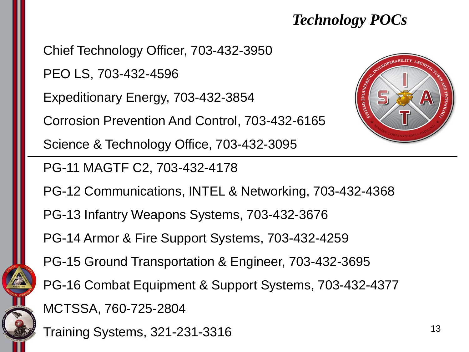### $\boldsymbol{\mathit{Technology\,POCs}}$

Chief Technology Officer, 703-432-3950

PEO LS, 703-432-4596

Expeditionary Energy, 703-432-3854

Corrosion Prevention And Control, 703-432-6165

Science & Technology Office, 703-432-3095

PG-11 MAGTF C2, 703-432-4178

PG-12 Communications, INTEL & Networking, 703-432-4368

PG-13 Infantry Weapons Systems, 703-432-3676

PG-14 Armor & Fire Support Systems, 703-432-4259

PG-15 Ground Transportation & Engineer, 703-432-3695

PG-16 Combat Equipment & Support Systems, 703-432-4377

MCTSSA, 760-725-2804

Training Systems, 321-231-3316



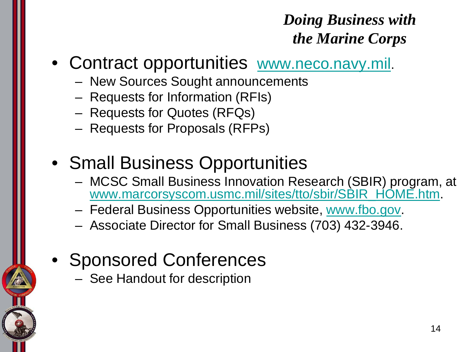## *Doing Business with the Marine Corps*

- Contract opportunities [www.neco.navy.mil](http://www.neco.navy.mil/).
	- New Sources Sought announcements
	- Requests for Information (RFIs)
	- Requests for Quotes (RFQs)
	- Requests for Proposals (RFPs)
- Small Business Opportunities
	- MCSC Small Business Innovation Research (SBIR) program, at [www.marcorsyscom.usmc.mil/sites/tto/sbir/SBIR\\_HOME.htm](http://www.marcorsyscom.usmc.mil/sites/tto/sbir/SBIR_HOME.htm).
	- Federal Business Opportunities website, [www.fbo.gov.](http://www.fbo.gov/)
	- Associate Director for Small Business (703) 432-3946.
- Sponsored Conferences
	- See Handout for description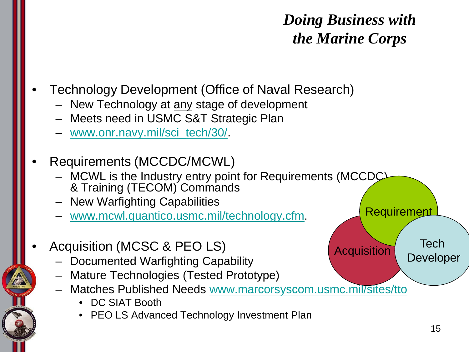## *Doing Business with the Marine Corps*

**Acquisition** 

**Requirement** 

- Technology Development (Office of Naval Research)
	- New Technology at any stage of development
	- Meets need in USMC S&T Strategic Plan
	- [www.onr.navy.mil/sci\\_tech/30/](http://www.onr.navy.mil/sci_tech/30/).
- Requirements (MCCDC/MCWL)
	- MCWL is the Industry entry point for Requirements (MCCDC) & Training (TECOM) Commands
	- New Warfighting Capabilities
	- [www.mcwl.quantico.usmc.mil/technology.cfm](http://www.mcwl.quantico.usmc.mil/technology.cfm).
- Acquisition (MCSC & PEO LS)
	- Documented Warfighting Capability
	- Mature Technologies (Tested Prototype)
	- Matches Published Needs [www.marcorsyscom.usmc.mil/sites/tto](http://www.marcorsyscom.usmc.mil/sites/tto)
		- DC SIAT Booth
		- PEO LS Advanced Technology Investment Plan

**Tech** 

Developer